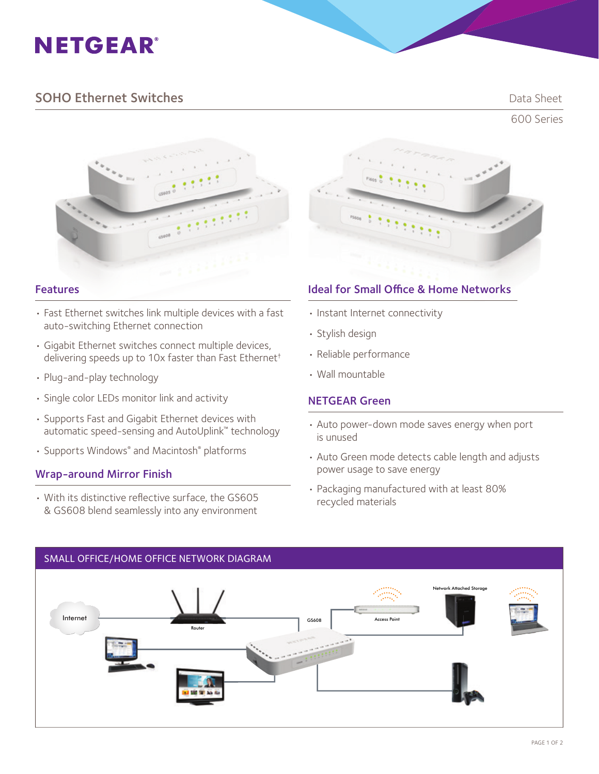# **NETGEAR®**

## **SOHO Ethernet Switches Data Sheet** Data Sheet

600 Series



- Fast Ethernet switches link multiple devices with a fast auto-switching Ethernet connection
- Gigabit Ethernet switches connect multiple devices, delivering speeds up to 10x faster than Fast Ethernet†
- Plug-and-play technology
- Single color LEDs monitor link and activity
- Supports Fast and Gigabit Ethernet devices with automatic speed-sensing and AutoUplink™ technology
- Supports Windows® and Macintosh® platforms

#### Wrap-around Mirror Finish

• With its distinctive reflective surface, the GS605 & GS608 blend seamlessly into any environment



### **Features Ideal for Small Office & Home Networks**

- Instant Internet connectivity
- Stylish design
- Reliable performance
- Wall mountable

#### NETGEAR Green

- Auto power-down mode saves energy when port is unused
- Auto Green mode detects cable length and adjusts power usage to save energy
- Packaging manufactured with at least 80% recycled materials



### SMALL OFFICE/HOME OFFICE NETWORK DIAGRAM